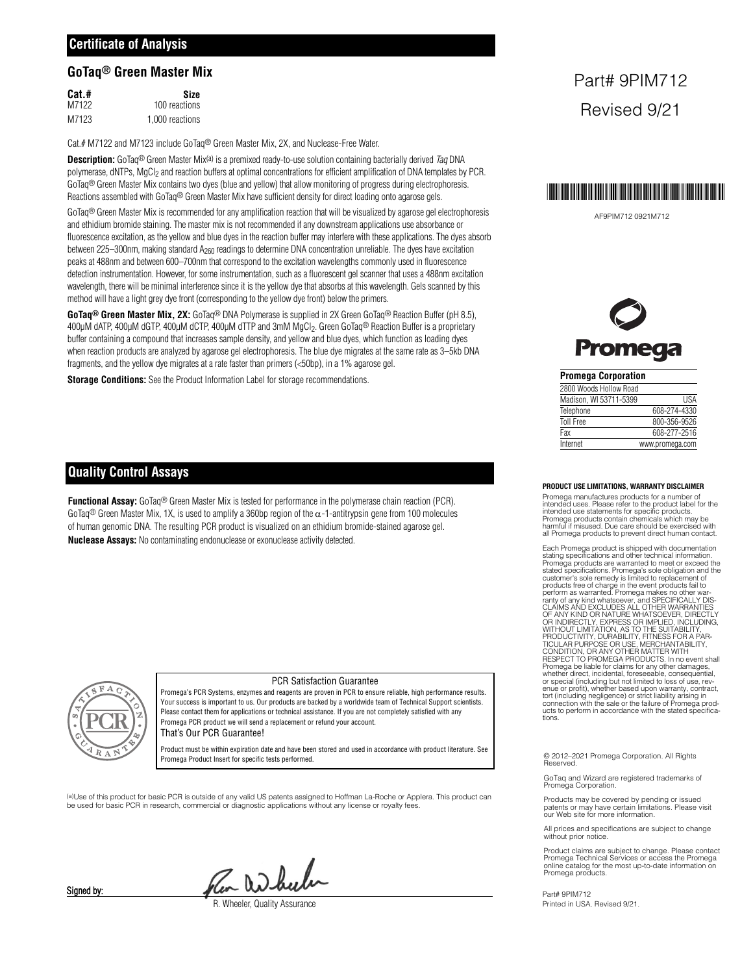#### **GoTaq® Green Master Mix**

| Cat.# | Size            |
|-------|-----------------|
| M7122 | 100 reactions   |
| M7123 | 1,000 reactions |

Cat.# M7122 and M7123 include GoTaq® Green Master Mix, 2X, and Nuclease-Free Water.

**Description:** GoTaq® Green Master Mix(a) is a premixed ready-to-use solution containing bacterially derived Taq DNA polymerase, dNTPs, MgCl<sub>2</sub> and reaction buffers at optimal concentrations for efficient amplification of DNA templates by PCR. GoTaq<sup>®</sup> Green Master Mix contains two dyes (blue and yellow) that allow monitoring of progress during electrophoresis. Reactions assembled with GoTaq® Green Master Mix have sufficient density for direct loading onto agarose gels.

GoTaq<sup>®</sup> Green Master Mix is recommended for any amplification reaction that will be visualized by agarose gel electrophoresis and ethidium bromide staining. The master mix is not recommended if any downstream applications use absorbance or fluorescence excitation, as the yellow and blue dyes in the reaction buffer may interfere with these applications. The dyes absorb between 225–300nm, making standard A<sub>260</sub> readings to determine DNA concentration unreliable. The dyes have excitation peaks at 488nm and between 600–700nm that correspond to the excitation wavelengths commonly used in fluorescence detection instrumentation. However, for some instrumentation, such as a fluorescent gel scanner that uses a 488nm excitation wavelength, there will be minimal interference since it is the yellow dye that absorbs at this wavelength. Gels scanned by this method will have a light grey dye front (corresponding to the yellow dye front) below the primers.

**GoTaq® Green Master Mix, 2X:** GoTaq® DNA Polymerase is supplied in 2X Green GoTaq® Reaction Buffer (pH 8.5), 400µM dATP, 400µM dGTP, 400µM dCTP, 400µM dTTP and 3mM MgCl<sub>2</sub>. Green GoTaq<sup>®</sup> Reaction Buffer is a proprietary buffer containing a compound that increases sample density, and yellow and blue dyes, which function as loading dyes when reaction products are analyzed by agarose gel electrophoresis. The blue dye migrates at the same rate as 3–5kb DNA fragments, and the yellow dye migrates at a rate faster than primers (<50bp), in a 1% agarose gel.

**Storage Conditions:** See the Product Information Label for storage recommendations.

### **Quality Control Assays**

**Functional Assay:** GoTaq® Green Master Mix is tested for performance in the polymerase chain reaction (PCR). GoTaq<sup>®</sup> Green Master Mix, 1X, is used to amplify a 360bp region of the  $\alpha$ -1-antitrypsin gene from 100 molecules of human genomic DNA. The resulting PCR product is visualized on an ethidium bromide-stained agarose gel. **Nuclease Assays:** No contaminating endonuclease or exonuclease activity detected.



#### PCR Satisfaction Guarantee

Promega's PCR Systems, enzymes and reagents are proven in PCR to ensure reliable, high performance results. Your success is important to us. Our products are backed by a worldwide team of Technical Support scientists. Please contact them for applications or technical assistance. If you are not completely satisfied with any Promega PCR product we will send a replacement or refund your account.

That's Our PCR Guarantee!

Product must be within expiration date and have been stored and used in accordance with product literature. See Promega Product Insert for specific tests performed.

(a)Use of this product for basic PCR is outside of any valid US patents assigned to Hoffman La-Roche or Applera. This product can be used for basic PCR in research, commercial or diagnostic applications without any license or royalty fees.

Pen adhulu

*Rheeler, Quality Assurance* 

## Part# 9PIM712 Revised 9/21



AF9PIM712 0921M712



#### **Promega Corporation**

| 2800 Woods Hollow Road |                 |
|------------------------|-----------------|
| Madison, WI 53711-5399 | <b>IISA</b>     |
| Telephone              | 608-274-4330    |
| <b>Toll Free</b>       | 800-356-9526    |
| Fax                    | 608-277-2516    |
| Internet               | www.promega.com |

#### **PRODUCT USE LIMITATIONS, WARRANTY DISCLAIMER**

Promega manufactures products for a number of intended uses. Please refer to the product label for the intended use statements for specific products. Promega products contain chemicals which may be harmful if misused. Due care should be exercised with all Promega products to prevent direct human contact.

Each Promega product is shipped with documentation stating specifications and other technical information. Promega products are warranted to meet or exceed the<br>stated specifications. Promega's sole obligation and the<br>customer's sole remedy is limited to replacement of<br>products free of charge in the event products fail to<br>perfor or special (including but not limited to loss of use, rev-<br>enue or profit), whether based upon warranty, contact,<br>tort (including negligence) or strict liability arising in<br>connection with the sale or the failure of Promeg

© 2012–2021 Promega Corporation. All Rights Reserved.

GoTaq and Wizard are registered trademarks of Promega Corporation.

Products may be covered by pending or issued patents or may have certain limitations. Please visit our Web site for more information.

All prices and specifications are subject to change without prior notice

Product claims are subject to change. Please contact Promega Technical Services or access the Promega online catalog for the most up-to-date information on Promega products.

Part# 9PIM712 Printed in USA. Revised 9/21.

Signed by: